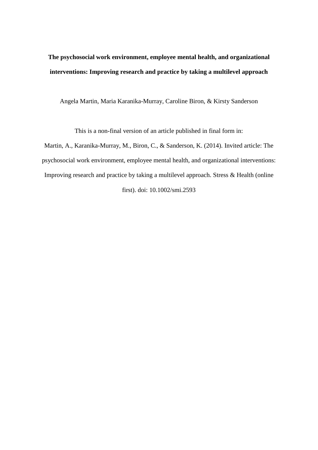## **The psychosocial work environment, employee mental health, and organizational interventions: Improving research and practice by taking a multilevel approach**

Angela Martin, Maria Karanika-Murray, Caroline Biron, & Kirsty Sanderson

This is a non-final version of an article published in final form in:

Martin, A., Karanika-Murray, M., Biron, C., & Sanderson, K. (2014). Invited article: The psychosocial work environment, employee mental health, and organizational interventions: Improving research and practice by taking a multilevel approach. [Stress & Health](http://onlinelibrary.wiley.com/doi/10.1002/smi.2593/abstract) (online

first). doi: 10.1002/smi.2593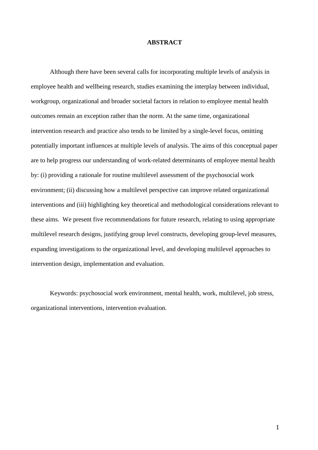#### **ABSTRACT**

Although there have been several calls for incorporating multiple levels of analysis in employee health and wellbeing research, studies examining the interplay between individual, workgroup, organizational and broader societal factors in relation to employee mental health outcomes remain an exception rather than the norm. At the same time, organizational intervention research and practice also tends to be limited by a single-level focus, omitting potentially important influences at multiple levels of analysis. The aims of this conceptual paper are to help progress our understanding of work-related determinants of employee mental health by: (i) providing a rationale for routine multilevel assessment of the psychosocial work environment; (ii) discussing how a multilevel perspective can improve related organizational interventions and (iii) highlighting key theoretical and methodological considerations relevant to these aims. We present five recommendations for future research, relating to using appropriate multilevel research designs, justifying group level constructs, developing group-level measures, expanding investigations to the organizational level, and developing multilevel approaches to intervention design, implementation and evaluation.

Keywords: psychosocial work environment, mental health, work, multilevel, job stress, organizational interventions, intervention evaluation.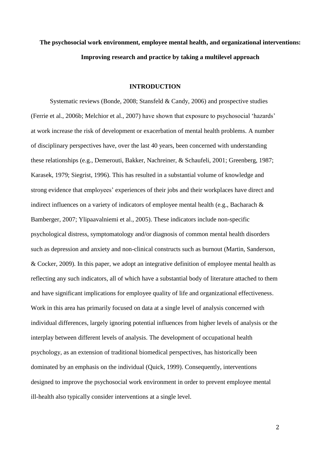# **The psychosocial work environment, employee mental health, and organizational interventions: Improving research and practice by taking a multilevel approach**

## **INTRODUCTION**

Systematic reviews [\(Bonde, 2008;](#page-31-0) [Stansfeld & Candy, 2006\)](#page-42-0) and prospective studies [\(Ferrie et al., 2006b;](#page-34-0) [Melchior et al., 2007\)](#page-38-0) have shown that exposure to psychosocial 'hazards' at work increase the risk of development or exacerbation of mental health problems. A number of disciplinary perspectives have, over the last 40 years, been concerned with understanding these relationships (e.g., [Demerouti, Bakker, Nachreiner, & Schaufeli, 2001;](#page-33-0) [Greenberg, 1987;](#page-34-1) [Karasek, 1979;](#page-36-0) [Siegrist, 1996\)](#page-41-0). This has resulted in a substantial volume of knowledge and strong evidence that employees' experiences of their jobs and their workplaces have direct and indirect influences on a variety of indicators of employee mental health (e.g., [Bacharach &](#page-30-0)  [Bamberger, 2007;](#page-30-0) [Ylipaavalniemi et al., 2005\)](#page-43-0). These indicators include non-specific psychological distress, symptomatology and/or diagnosis of common mental health disorders such as depression and anxiety and non-clinical constructs such as burnout (Martin, Sanderson, & Cocker, 2009). In this paper, we adopt an integrative definition of employee mental health as reflecting any such indicators, all of which have a substantial body of literature attached to them and have significant implications for employee quality of life and organizational effectiveness. Work in this area has primarily focused on data at a single level of analysis concerned with individual differences, largely ignoring potential influences from higher levels of analysis or the interplay between different levels of analysis. The development of occupational health psychology, as an extension of traditional biomedical perspectives, has historically been dominated by an emphasis on the individual (Quick, 1999). Consequently, interventions designed to improve the psychosocial work environment in order to prevent employee mental ill-health also typically consider interventions at a single level.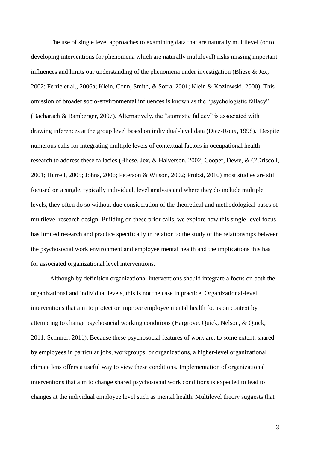The use of single level approaches to examining data that are naturally multilevel (or to developing interventions for phenomena which are naturally multilevel) risks missing important influences and limits our understanding of the phenomena under investigation [\(Bliese & Jex,](#page-31-1)  [2002;](#page-31-1) Ferrie et al., 2006a; [Klein, Conn, Smith, & Sorra, 2001;](#page-36-1) [Klein & Kozlowski, 2000\)](#page-36-2). This omission of broader socio-environmental influences is known as the "psychologistic fallacy" [\(Bacharach & Bamberger, 2007\)](#page-30-0). Alternatively, the "atomistic fallacy" is associated with drawing inferences at the group level based on individual-level data [\(Diez-Roux, 1998\)](#page-33-1). Despite numerous calls for integrating multiple levels of contextual factors in occupational health research to address these fallacies [\(Bliese, Jex, & Halverson, 2002;](#page-31-2) [Cooper, Dewe, & O'Driscoll,](#page-32-0)  [2001;](#page-32-0) [Hurrell, 2005;](#page-35-0) [Johns, 2006;](#page-36-3) [Peterson & Wilson, 2002;](#page-39-0) [Probst, 2010\)](#page-40-0) most studies are still focused on a single, typically individual, level analysis and where they do include multiple levels, they often do so without due consideration of the theoretical and methodological bases of multilevel research design. Building on these prior calls, we explore how this single-level focus has limited research and practice specifically in relation to the study of the relationships between the psychosocial work environment and employee mental health and the implications this has for associated organizational level interventions.

Although by definition organizational interventions should integrate a focus on both the organizational and individual levels, this is not the case in practice. Organizational-level interventions that aim to protect or improve employee mental health focus on context by attempting to change psychosocial working conditions [\(Hargrove, Quick, Nelson, & Quick,](#page-35-1)  [2011;](#page-35-1) [Semmer, 2011\)](#page-41-1). Because these psychosocial features of work are, to some extent, shared by employees in particular jobs, workgroups, or organizations, a higher-level organizational climate lens offers a useful way to view these conditions. Implementation of organizational interventions that aim to change shared psychosocial work conditions is expected to lead to changes at the individual employee level such as mental health. Multilevel theory suggests that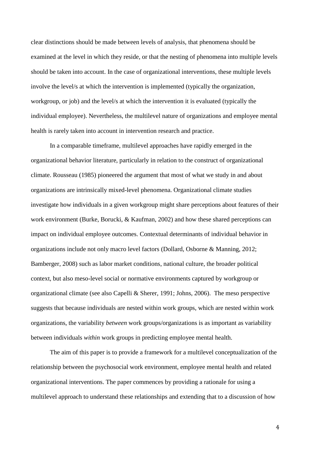clear distinctions should be made between levels of analysis, that phenomena should be examined at the level in which they reside, or that the nesting of phenomena into multiple levels should be taken into account. In the case of organizational interventions, these multiple levels involve the level/s at which the intervention is implemented (typically the organization, workgroup, or job) and the level/s at which the intervention it is evaluated (typically the individual employee). Nevertheless, the multilevel nature of organizations and employee mental health is rarely taken into account in intervention research and practice.

In a comparable timeframe, multilevel approaches have rapidly emerged in the organizational behavior literature, particularly in relation to the construct of organizational climate. Rousseau (1985) pioneered the argument that most of what we study in and about organizations are intrinsically mixed-level phenomena. Organizational climate studies investigate how individuals in a given workgroup might share perceptions about features of their work environment [\(Burke, Borucki, & Kaufman, 2002\)](#page-32-1) and how these shared perceptions can impact on individual employee outcomes. Contextual determinants of individual behavior in organizations include not only macro level factors (Dollard, Osborne & Manning, 2012; [Bamberger, 2008\)](#page-30-1) such as labor market conditions, national culture, the broader political context, but also meso-level social or normative environments captured by workgroup or organizational climate (see also [Capelli & Sherer, 1991;](#page-32-2) [Johns, 2006\)](#page-36-3). The meso perspective suggests that because individuals are nested within work groups, which are nested within work organizations, the variability *between* work groups/organizations is as important as variability between individuals *within* work groups in predicting employee mental health.

The aim of this paper is to provide a framework for a multilevel conceptualization of the relationship between the psychosocial work environment, employee mental health and related organizational interventions. The paper commences by providing a rationale for using a multilevel approach to understand these relationships and extending that to a discussion of how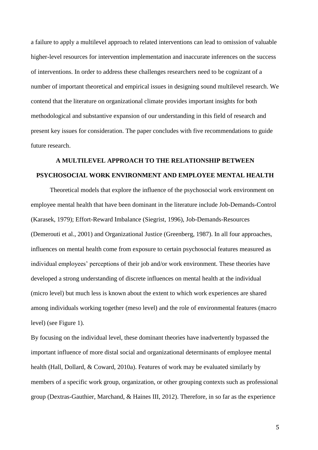a failure to apply a multilevel approach to related interventions can lead to omission of valuable higher-level resources for intervention implementation and inaccurate inferences on the success of interventions. In order to address these challenges researchers need to be cognizant of a number of important theoretical and empirical issues in designing sound multilevel research. We contend that the literature on organizational climate provides important insights for both methodological and substantive expansion of our understanding in this field of research and present key issues for consideration. The paper concludes with five recommendations to guide future research.

## **A MULTILEVEL APPROACH TO THE RELATIONSHIP BETWEEN PSYCHOSOCIAL WORK ENVIRONMENT AND EMPLOYEE MENTAL HEALTH**

Theoretical models that explore the influence of the psychosocial work environment on employee mental health that have been dominant in the literature include Job-Demands-Control [\(Karasek, 1979\)](#page-36-0); Effort-Reward Imbalance [\(Siegrist, 1996\)](#page-41-0), Job-Demands-Resources [\(Demerouti et al., 2001\)](#page-33-0) and Organizational Justice [\(Greenberg, 1987\)](#page-34-1). In all four approaches, influences on mental health come from exposure to certain psychosocial features measured as individual employees' perceptions of their job and/or work environment. These theories have developed a strong understanding of discrete influences on mental health at the individual (micro level) but much less is known about the extent to which work experiences are shared among individuals working together (meso level) and the role of environmental features (macro level) (see Figure 1).

By focusing on the individual level, these dominant theories have inadvertently bypassed the important influence of more distal social and organizational determinants of employee mental health [\(Hall, Dollard, & Coward, 2010a\)](#page-35-2). Features of work may be evaluated similarly by members of a specific work group, organization, or other grouping contexts such as professional group [\(Dextras-Gauthier, Marchand, & Haines III, 2012\)](#page-33-2). Therefore, in so far as the experience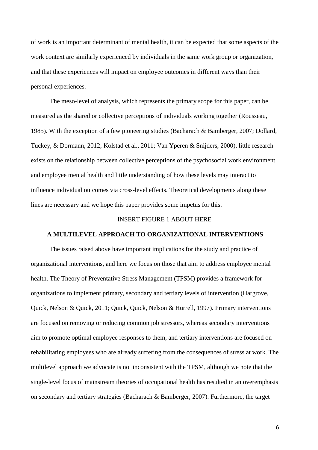of work is an important determinant of mental health, it can be expected that some aspects of the work context are similarly experienced by individuals in the same work group or organization, and that these experiences will impact on employee outcomes in different ways than their personal experiences.

The meso-level of analysis, which represents the primary scope for this paper, can be measured as the shared or collective perceptions of individuals working together [\(Rousseau,](#page-40-1)  [1985\)](#page-40-1). With the exception of a few pioneering studies [\(Bacharach & Bamberger, 2007;](#page-30-0) [Dollard,](#page-34-2)  [Tuckey, & Dormann, 2012;](#page-34-2) [Kolstad et al., 2011;](#page-37-0) [Van Yperen & Snijders, 2000\)](#page-42-1), little research exists on the relationship between collective perceptions of the psychosocial work environment and employee mental health and little understanding of how these levels may interact to influence individual outcomes via cross-level effects. Theoretical developments along these lines are necessary and we hope this paper provides some impetus for this.

### INSERT FIGURE 1 ABOUT HERE

## **A MULTILEVEL APPROACH TO ORGANIZATIONAL INTERVENTIONS**

The issues raised above have important implications for the study and practice of organizational interventions, and here we focus on those that aim to address employee mental health. The Theory of Preventative Stress Management (TPSM) provides a framework for organizations to implement primary, secondary and tertiary levels of intervention (Hargrove, Quick, Nelson & Quick, 2011; Quick, Quick, Nelson & Hurrell, 1997). Primary interventions are focused on removing or reducing common job stressors, whereas secondary interventions aim to promote optimal employee responses to them, and tertiary interventions are focused on rehabilitating employees who are already suffering from the consequences of stress at work. The multilevel approach we advocate is not inconsistent with the TPSM, although we note that the single-level focus of mainstream theories of occupational health has resulted in an overemphasis on secondary and tertiary strategies [\(Bacharach & Bamberger, 2007\)](#page-30-1). Furthermore, the target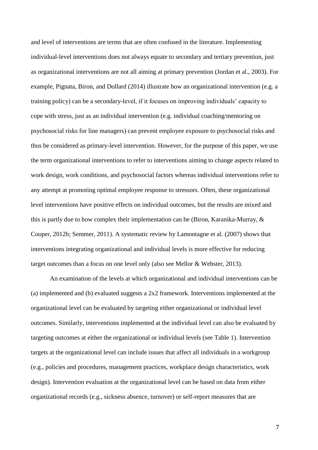and level of interventions are terms that are often confused in the literature. Implementing individual-level interventions does not always equate to secondary and tertiary prevention, just as organizational interventions are not all aiming at primary prevention [\(Jordan et al., 2003\)](#page-36-4). For example, [Pignata, Biron, and Dollard](#page-39-1) (2014) illustrate how an organizational intervention (e.g. a training policy) can be a secondary-level, if it focuses on improving individuals' capacity to cope with stress, just as an individual intervention (e.g. individual coaching/mentoring on psychosocial risks for line managers) can prevent employee exposure to psychosocial risks and thus be considered as primary-level intervention. However, for the purpose of this paper, we use the term organizational interventions to refer to interventions aiming to change aspects related to work design, work conditions, and psychosocial factors whereas individual interventions refer to any attempt at promoting optimal employee response to stressors. Often, these organizational level interventions have positive effects on individual outcomes, but the results are mixed and this is partly due to how complex their implementation can be [\(Biron, Karanika-Murray, &](#page-30-2)  [Cooper, 2012b;](#page-30-2) [Semmer, 2011\)](#page-41-1). A systematic review by Lamontagne et al. [\(2007\)](#page-37-1) shows that interventions integrating organizational and individual levels is more effective for reducing target outcomes than a focus on one level only [\(also see Mellor & Webster, 2013\)](#page-38-1).

An examination of the levels at which organizational and individual interventions can be (a) implemented and (b) evaluated suggests a 2x2 framework. Interventions implemented at the organizational level can be evaluated by targeting either organizational or individual level outcomes. Similarly, interventions implemented at the individual level can also be evaluated by targeting outcomes at either the organizational or individual levels (see Table 1). Intervention targets at the organizational level can include issues that affect all individuals in a workgroup (e.g., policies and procedures, management practices, workplace design characteristics, work design). Intervention evaluation at the organizational level can be based on data from either organizational records (e.g., sickness absence, turnover) or self-report measures that are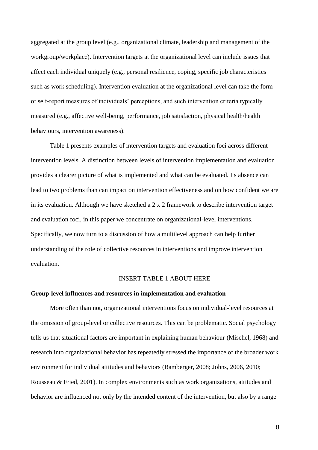aggregated at the group level (e.g., organizational climate, leadership and management of the workgroup/workplace). Intervention targets at the organizational level can include issues that affect each individual uniquely (e.g., personal resilience, coping, specific job characteristics such as work scheduling). Intervention evaluation at the organizational level can take the form of self-report measures of individuals' perceptions, and such intervention criteria typically measured (e.g., affective well-being, performance, job satisfaction, physical health/health behaviours, intervention awareness).

Table 1 presents examples of intervention targets and evaluation foci across different intervention levels. A distinction between levels of intervention implementation and evaluation provides a clearer picture of what is implemented and what can be evaluated. Its absence can lead to two problems than can impact on intervention effectiveness and on how confident we are in its evaluation. Although we have sketched a 2 x 2 framework to describe intervention target and evaluation foci, in this paper we concentrate on organizational-level interventions. Specifically, we now turn to a discussion of how a multilevel approach can help further understanding of the role of collective resources in interventions and improve intervention evaluation.

### INSERT TABLE 1 ABOUT HERE

## **Group-level influences and resources in implementation and evaluation**

More often than not, organizational interventions focus on individual-level resources at the omission of group-level or collective resources. This can be problematic. Social psychology tells us that situational factors are important in explaining human behaviour [\(Mischel, 1968\)](#page-38-2) and research into organizational behavior has repeatedly stressed the importance of the broader work environment for individual attitudes and behaviors [\(Bamberger, 2008;](#page-30-1) [Johns, 2006,](#page-36-3) 2010; [Rousseau & Fried, 2001\)](#page-40-2). In complex environments such as work organizations, attitudes and behavior are influenced not only by the intended content of the intervention, but also by a range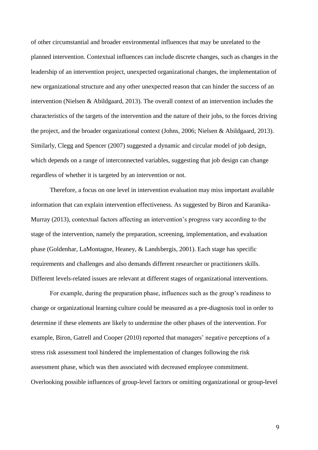of other circumstantial and broader environmental influences that may be unrelated to the planned intervention. Contextual influences can include discrete changes, such as changes in the leadership of an intervention project, unexpected organizational changes, the implementation of new organizational structure and any other unexpected reason that can hinder the success of an intervention [\(Nielsen & Abildgaard, 2013\)](#page-39-2). The overall context of an intervention includes the characteristics of the targets of the intervention and the nature of their jobs, to the forces driving the project, and the broader organizational context [\(Johns, 2006;](#page-36-3) [Nielsen & Abildgaard, 2013\)](#page-39-2). Similarly, Clegg and Spencer [\(2007\)](#page-32-3) suggested a dynamic and circular model of job design, which depends on a range of interconnected variables, suggesting that job design can change regardless of whether it is targeted by an intervention or not.

Therefore, a focus on one level in intervention evaluation may miss important available information that can explain intervention effectiveness. As suggested by Biron and Karanika-Murray [\(2013\)](#page-30-3), contextual factors affecting an intervention's progress vary according to the stage of the intervention, namely the preparation, screening, implementation, and evaluation phase [\(Goldenhar, LaMontagne, Heaney, & Landsbergis, 2001\)](#page-34-3). Each stage has specific requirements and challenges and also demands different researcher or practitioners skills. Different levels-related issues are relevant at different stages of organizational interventions.

For example, during the preparation phase, influences such as the group's readiness to change or organizational learning culture could be measured as a pre-diagnosis tool in order to determine if these elements are likely to undermine the other phases of the intervention. For example, Biron, Gatrell and Cooper [\(2010\)](#page-30-4) reported that managers' negative perceptions of a stress risk assessment tool hindered the implementation of changes following the risk assessment phase, which was then associated with decreased employee commitment. Overlooking possible influences of group-level factors or omitting organizational or group-level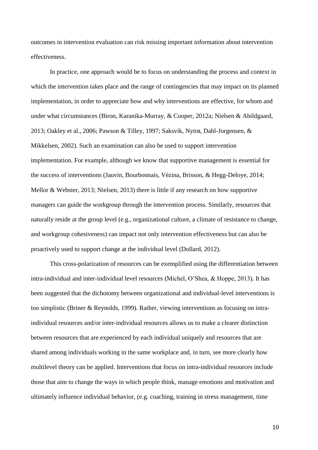outcomes in intervention evaluation can risk missing important information about intervention effectiveness.

In practice, one approach would be to focus on understanding the process and context in which the intervention takes place and the range of contingencies that may impact on its planned implementation, in order to appreciate how and why interventions are effective, for whom and under what circumstances [\(Biron, Karanika-Murray, & Cooper, 2012a;](#page-30-5) [Nielsen & Abildgaard,](#page-39-2)  [2013;](#page-39-2) [Oakley et al., 2006;](#page-39-3) [Pawson & Tilley, 1997;](#page-39-4) [Saksvik, Nytrø, Dahl-Jorgensen, &](#page-41-2)  [Mikkelsen, 2002\)](#page-41-2). Such an examination can also be used to support intervention implementation. For example, although we know that supportive management is essential for the success of interventions [\(Jauvin, Bourbonnais, Vézina, Brisson, & Hegg-Deloye, 2014;](#page-35-3) [Mellor & Webster, 2013;](#page-38-1) [Nielsen, 2013\)](#page-39-5) there is little if any research on how supportive managers can guide the workgroup through the intervention process. Similarly, resources that naturally reside at the group level (e.g., organizational culture, a climate of resistance to change, and workgroup cohesiveness) can impact not only intervention effectiveness but can also be proactively used to support change at the individual level (Dollard, 2012).

This cross-polarization of resources can be exemplified using the differentiation between intra-individual and inter-individual level resources [\(Michel, O'Shea, & Hoppe, 2013\)](#page-38-3). It has been suggested that the dichotomy between organizational and individual-level interventions is too simplistic [\(Briner & Reynolds, 1999\)](#page-31-3). Rather, viewing interventions as focusing on intraindividual resources and/or inter-individual resources allows us to make a clearer distinction between resources that are experienced by each individual uniquely and resources that are shared among individuals working in the same workplace and, in turn, see more clearly how multilevel theory can be applied. Interventions that focus on intra-individual resources include those that aim to change the ways in which people think, manage emotions and motivation and ultimately influence individual behavior, (e.g. coaching, training in stress management, time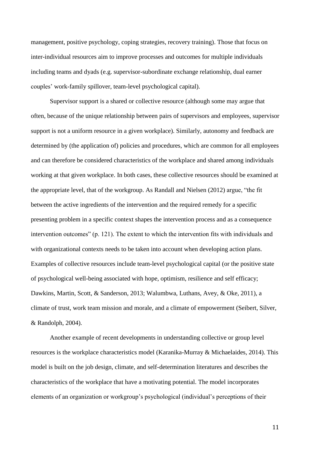management, positive psychology, coping strategies, recovery training). Those that focus on inter-individual resources aim to improve processes and outcomes for multiple individuals including teams and dyads (e.g. supervisor-subordinate exchange relationship, dual earner couples' work-family spillover, team-level psychological capital).

Supervisor support is a shared or collective resource (although some may argue that often, because of the unique relationship between pairs of supervisors and employees, supervisor support is not a uniform resource in a given workplace). Similarly, autonomy and feedback are determined by (the application of) policies and procedures, which are common for all employees and can therefore be considered characteristics of the workplace and shared among individuals working at that given workplace. In both cases, these collective resources should be examined at the appropriate level, that of the workgroup. As Randall and Nielsen [\(2012\)](#page-40-3) argue, "the fit between the active ingredients of the intervention and the required remedy for a specific presenting problem in a specific context shapes the intervention process and as a consequence intervention outcomes" (p. 121). The extent to which the intervention fits with individuals and with organizational contexts needs to be taken into account when developing action plans. Examples of collective resources include team-level psychological capital (or the positive state of psychological well-being associated with hope, optimism, resilience and self efficacy; [Dawkins, Martin, Scott, & Sanderson, 2013;](#page-32-4) [Walumbwa, Luthans, Avey, & Oke, 2011\)](#page-43-1), a climate of trust, work team mission and morale, and a climate of empowerment [\(Seibert, Silver,](#page-41-3)  [& Randolph, 2004\)](#page-41-3).

Another example of recent developments in understanding collective or group level resources is the workplace characteristics model (Karanika-Murray & Michaelaides, 2014). This model is built on the job design, climate, and self-determination literatures and describes the characteristics of the workplace that have a motivating potential. The model incorporates elements of an organization or workgroup's psychological (individual's perceptions of their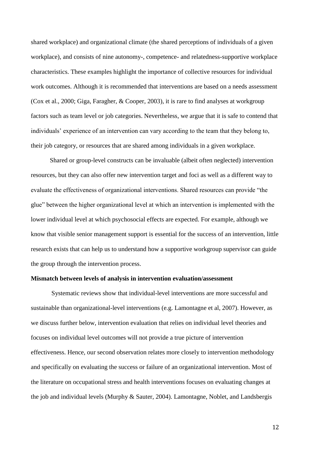shared workplace) and organizational climate (the shared perceptions of individuals of a given workplace), and consists of nine autonomy-, competence- and relatedness-supportive workplace characteristics. These examples highlight the importance of collective resources for individual work outcomes. Although it is recommended that interventions are based on a needs assessment [\(Cox et al., 2000;](#page-32-5) [Giga, Faragher, & Cooper, 2003\)](#page-34-4), it is rare to find analyses at workgroup factors such as team level or job categories. Nevertheless, we argue that it is safe to contend that individuals' experience of an intervention can vary according to the team that they belong to, their job category, or resources that are shared among individuals in a given workplace.

Shared or group-level constructs can be invaluable (albeit often neglected) intervention resources, but they can also offer new intervention target and foci as well as a different way to evaluate the effectiveness of organizational interventions. Shared resources can provide "the glue" between the higher organizational level at which an intervention is implemented with the lower individual level at which psychosocial effects are expected. For example, although we know that visible senior management support is essential for the success of an intervention, little research exists that can help us to understand how a supportive workgroup supervisor can guide the group through the intervention process.

#### **Mismatch between levels of analysis in intervention evaluation/assessment**

Systematic reviews show that individual-level interventions are more successful and sustainable than organizational-level interventions (e.g. Lamontagne et al, 2007). However, as we discuss further below, intervention evaluation that relies on individual level theories and focuses on individual level outcomes will not provide a true picture of intervention effectiveness. Hence, our second observation relates more closely to intervention methodology and specifically on evaluating the success or failure of an organizational intervention. Most of the literature on occupational stress and health interventions focuses on evaluating changes at the job and individual levels [\(Murphy & Sauter, 2004\)](#page-38-4). [Lamontagne, Noblet, and Landsbergis](#page-37-2)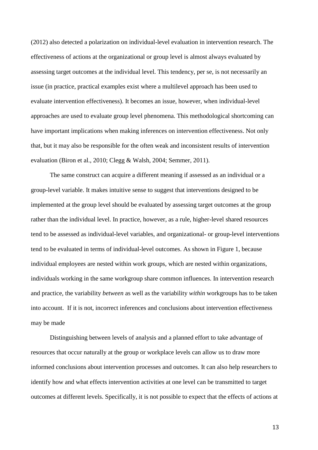[\(2012\)](#page-37-2) also detected a polarization on individual-level evaluation in intervention research. The effectiveness of actions at the organizational or group level is almost always evaluated by assessing target outcomes at the individual level. This tendency, per se, is not necessarily an issue (in practice, practical examples exist where a multilevel approach has been used to evaluate intervention effectiveness). It becomes an issue, however, when individual-level approaches are used to evaluate group level phenomena. This methodological shortcoming can have important implications when making inferences on intervention effectiveness. Not only that, but it may also be responsible for the often weak and inconsistent results of intervention evaluation [\(Biron et al., 2010;](#page-30-4) [Clegg & Walsh, 2004;](#page-32-6) [Semmer, 2011\)](#page-41-1).

The same construct can acquire a different meaning if assessed as an individual or a group-level variable. It makes intuitive sense to suggest that interventions designed to be implemented at the group level should be evaluated by assessing target outcomes at the group rather than the individual level. In practice, however, as a rule, higher-level shared resources tend to be assessed as individual-level variables, and organizational- or group-level interventions tend to be evaluated in terms of individual-level outcomes. As shown in Figure 1, because individual employees are nested within work groups, which are nested within organizations, individuals working in the same workgroup share common influences. In intervention research and practice, the variability *between* as well as the variability *within* workgroups has to be taken into account. If it is not, incorrect inferences and conclusions about intervention effectiveness may be made

Distinguishing between levels of analysis and a planned effort to take advantage of resources that occur naturally at the group or workplace levels can allow us to draw more informed conclusions about intervention processes and outcomes. It can also help researchers to identify how and what effects intervention activities at one level can be transmitted to target outcomes at different levels. Specifically, it is not possible to expect that the effects of actions at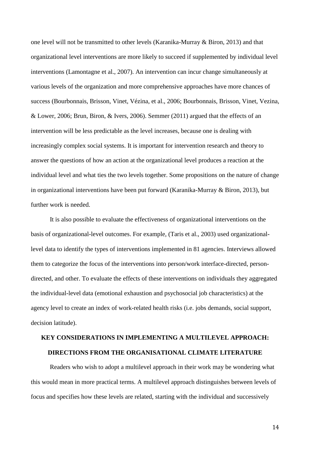one level will not be transmitted to other levels [\(Karanika-Murray & Biron, 2013\)](#page-36-5) and that organizational level interventions are more likely to succeed if supplemented by individual level interventions [\(Lamontagne et al., 2007\)](#page-37-1). An intervention can incur change simultaneously at various levels of the organization and more comprehensive approaches have more chances of success [\(Bourbonnais, Brisson, Vinet, Vézina, et al., 2006;](#page-31-4) [Bourbonnais, Brisson, Vinet, Vezina,](#page-31-5)  [& Lower, 2006;](#page-31-5) [Brun, Biron, & Ivers, 2006\)](#page-31-6). [Semmer \(2011\)](#page-41-1) argued that the effects of an intervention will be less predictable as the level increases, because one is dealing with increasingly complex social systems. It is important for intervention research and theory to answer the questions of how an action at the organizational level produces a reaction at the individual level and what ties the two levels together. Some propositions on the nature of change in organizational interventions have been put forward (Karanika-Murray & Biron, 2013), but further work is needed.

It is also possible to evaluate the effectiveness of organizational interventions on the basis of organizational-level outcomes. For example, [\(Taris et al., 2003\)](#page-42-2) used organizationallevel data to identify the types of interventions implemented in 81 agencies. Interviews allowed them to categorize the focus of the interventions into person/work interface-directed, persondirected, and other. To evaluate the effects of these interventions on individuals they aggregated the individual-level data (emotional exhaustion and psychosocial job characteristics) at the agency level to create an index of work-related health risks (i.e. jobs demands, social support, decision latitude).

# **KEY CONSIDERATIONS IN IMPLEMENTING A MULTILEVEL APPROACH: DIRECTIONS FROM THE ORGANISATIONAL CLIMATE LITERATURE**

Readers who wish to adopt a multilevel approach in their work may be wondering what this would mean in more practical terms. A multilevel approach distinguishes between levels of focus and specifies how these levels are related, starting with the individual and successively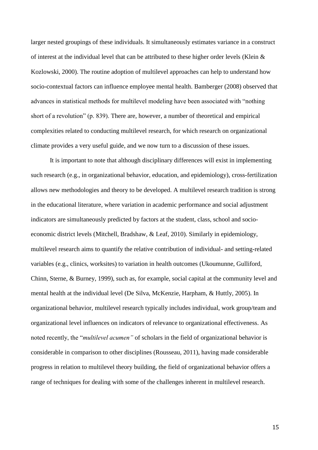larger nested groupings of these individuals. It simultaneously estimates variance in a construct of interest at the individual level that can be attributed to these higher order levels [\(Klein &](#page-36-2)  [Kozlowski, 2000\)](#page-36-2). The routine adoption of multilevel approaches can help to understand how socio-contextual factors can influence employee mental health. Bamberger [\(2008\)](#page-30-1) observed that advances in statistical methods for multilevel modeling have been associated with "nothing short of a revolution" (p. 839). There are, however, a number of theoretical and empirical complexities related to conducting multilevel research, for which research on organizational climate provides a very useful guide, and we now turn to a discussion of these issues.

It is important to note that although disciplinary differences will exist in implementing such research (e.g., in organizational behavior, education, and epidemiology), cross-fertilization allows new methodologies and theory to be developed. A multilevel research tradition is strong in the educational literature, where variation in academic performance and social adjustment indicators are simultaneously predicted by factors at the student, class, school and socioeconomic district levels [\(Mitchell, Bradshaw, & Leaf, 2010\)](#page-38-5). Similarly in epidemiology, multilevel research aims to quantify the relative contribution of individual- and setting-related variables (e.g., clinics, worksites) to variation in health outcomes [\(Ukoumunne, Gulliford,](#page-42-3)  [Chinn, Sterne, & Burney, 1999\)](#page-42-3), such as, for example, social capital at the community level and mental health at the individual level [\(De Silva, McKenzie, Harpham, & Huttly, 2005\)](#page-33-3). In organizational behavior, multilevel research typically includes individual, work group/team and organizational level influences on indicators of relevance to organizational effectiveness. As noted recently, the "*multilevel acumen"* of scholars in the field of organizational behavior is considerable in comparison to other disciplines [\(Rousseau, 2011\)](#page-40-4), having made considerable progress in relation to multilevel theory building, the field of organizational behavior offers a range of techniques for dealing with some of the challenges inherent in multilevel research.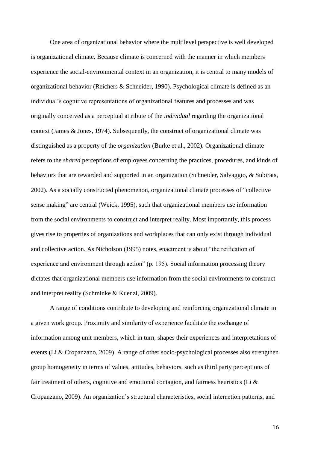One area of organizational behavior where the multilevel perspective is well developed is organizational climate. Because climate is concerned with the manner in which members experience the social-environmental context in an organization, it is central to many models of organizational behavior [\(Reichers & Schneider, 1990\)](#page-40-5). Psychological climate is defined as an individual's cognitive representations of organizational features and processes and was originally conceived as a perceptual attribute of the *individual* regarding the organizational context [\(James & Jones, 1974\)](#page-35-4). Subsequently, the construct of organizational climate was distinguished as a property of the *organization* [\(Burke et al., 2002\)](#page-32-1). Organizational climate refers to the *shared* perceptions of employees concerning the practices, procedures, and kinds of behaviors that are rewarded and supported in an organization [\(Schneider, Salvaggio, & Subirats,](#page-41-4)  [2002\)](#page-41-4). As a socially constructed phenomenon, organizational climate processes of "collective sense making" are central [\(Weick, 1995\)](#page-43-2), such that organizational members use information from the social environments to construct and interpret reality. Most importantly, this process gives rise to properties of organizations and workplaces that can only exist through individual and collective action. As Nicholson [\(1995\)](#page-39-6) notes, enactment is about "the reification of experience and environment through action" (p. 195). Social information processing theory dictates that organizational members use information from the social environments to construct and interpret reality (Schminke & Kuenzi, 2009).

A range of conditions contribute to developing and reinforcing organizational climate in a given work group. Proximity and similarity of experience facilitate the exchange of information among unit members, which in turn, shapes their experiences and interpretations of events [\(Li & Cropanzano, 2009\)](#page-37-3). A range of other socio-psychological processes also strengthen group homogeneity in terms of values, attitudes, behaviors, such as third party perceptions of fair treatment of others, cognitive and emotional contagion, and fairness heuristics (Li  $\&$ [Cropanzano, 2009\)](#page-37-3). An organization's structural characteristics, social interaction patterns, and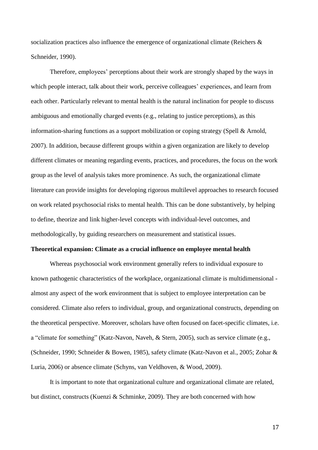socialization practices also influence the emergence of organizational climate [\(Reichers &](#page-40-5)  [Schneider, 1990\)](#page-40-5).

Therefore, employees' perceptions about their work are strongly shaped by the ways in which people interact, talk about their work, perceive colleagues' experiences, and learn from each other. Particularly relevant to mental health is the natural inclination for people to discuss ambiguous and emotionally charged events (e.g., relating to justice perceptions), as this information-sharing functions as a support mobilization or coping strategy [\(Spell & Arnold,](#page-42-4)  [2007\)](#page-42-4). In addition, because different groups within a given organization are likely to develop different climates or meaning regarding events, practices, and procedures, the focus on the work group as the level of analysis takes more prominence. As such, the organizational climate literature can provide insights for developing rigorous multilevel approaches to research focused on work related psychosocial risks to mental health. This can be done substantively, by helping to define, theorize and link higher-level concepts with individual-level outcomes, and methodologically, by guiding researchers on measurement and statistical issues.

#### **Theoretical expansion: Climate as a crucial influence on employee mental health**

Whereas psychosocial work environment generally refers to individual exposure to known pathogenic characteristics of the workplace, organizational climate is multidimensional almost any aspect of the work environment that is subject to employee interpretation can be considered. Climate also refers to individual, group, and organizational constructs, depending on the theoretical perspective. Moreover, scholars have often focused on facet-specific climates, i.e. a "climate for something" [\(Katz-Navon, Naveh, & Stern, 2005\)](#page-36-6), such as service climate (e.g., [\(Schneider, 1990;](#page-41-5) [Schneider & Bowen, 1985\)](#page-41-6), safety climate [\(Katz-Navon et al., 2005;](#page-36-6) [Zohar &](#page-43-3)  [Luria, 2006\)](#page-43-3) or absence climate [\(Schyns, van Veldhoven, & Wood, 2009\)](#page-41-7).

It is important to note that organizational culture and organizational climate are related, but distinct, constructs (Kuenzi & Schminke, 2009). They are both concerned with how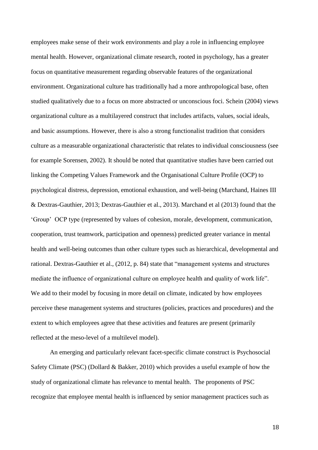employees make sense of their work environments and play a role in influencing employee mental health. However, organizational climate research, rooted in psychology, has a greater focus on quantitative measurement regarding observable features of the organizational environment. Organizational culture has traditionally had a more anthropological base, often studied qualitatively due to a focus on more abstracted or unconscious foci. Schein (2004) views organizational culture as a multilayered construct that includes artifacts, values, social ideals, and basic assumptions. However, there is also a strong functionalist tradition that considers culture as a measurable organizational characteristic that relates to individual consciousness (see for example Sorensen, 2002). It should be noted that quantitative studies have been carried out linking the Competing Values Framework and the Organisational Culture Profile (OCP) to psychological distress, depression, emotional exhaustion, and well-being (Marchand, Haines III & Dextras-Gauthier, 2013; Dextras-Gauthier et al., 2013). Marchand et al (2013) found that the 'Group' OCP type (represented by values of cohesion, morale, development, communication, cooperation, trust teamwork, participation and openness) predicted greater variance in mental health and well-being outcomes than other culture types such as hierarchical, developmental and rational. Dextras-Gauthier et al., (2012, p. 84) state that "management systems and structures mediate the influence of organizational culture on employee health and quality of work life". We add to their model by focusing in more detail on climate, indicated by how employees perceive these management systems and structures (policies, practices and procedures) and the extent to which employees agree that these activities and features are present (primarily reflected at the meso-level of a multilevel model).

An emerging and particularly relevant facet-specific climate construct is Psychosocial Safety Climate (PSC) [\(Dollard & Bakker, 2010\)](#page-33-4) which provides a useful example of how the study of organizational climate has relevance to mental health. The proponents of PSC recognize that employee mental health is influenced by senior management practices such as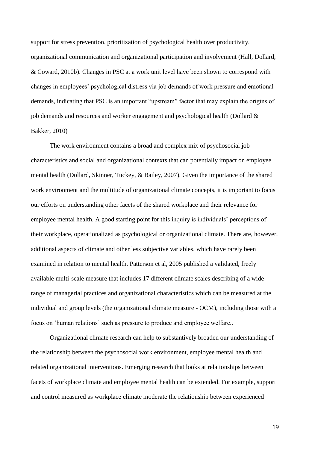support for stress prevention, prioritization of psychological health over productivity, organizational communication and organizational participation and involvement (Hall, Dollard, & Coward, 2010b). Changes in PSC at a work unit level have been shown to correspond with changes in employees' psychological distress via job demands of work pressure and emotional demands, indicating that PSC is an important "upstream" factor that may explain the origins of job demands and resources and worker engagement and psychological health [\(Dollard &](#page-33-4)  [Bakker, 2010\)](#page-33-4)

The work environment contains a broad and complex mix of psychosocial job characteristics and social and organizational contexts that can potentially impact on employee mental health [\(Dollard, Skinner, Tuckey, & Bailey, 2007\)](#page-34-5). Given the importance of the shared work environment and the multitude of organizational climate concepts, it is important to focus our efforts on understanding other facets of the shared workplace and their relevance for employee mental health. A good starting point for this inquiry is individuals' perceptions of their workplace, operationalized as psychological or organizational climate. There are, however, additional aspects of climate and other less subjective variables, which have rarely been examined in relation to mental health. Patterson et al, 2005 published a validated, freely available multi-scale measure that includes 17 different climate scales describing of a wide range of managerial practices and organizational characteristics which can be measured at the individual and group levels (the organizational climate measure - OCM), including those with a focus on 'human relations' such as pressure to produce and employee welfare..

Organizational climate research can help to substantively broaden our understanding of the relationship between the psychosocial work environment, employee mental health and related organizational interventions. Emerging research that looks at relationships between facets of workplace climate and employee mental health can be extended. For example, support and control measured as workplace climate moderate the relationship between experienced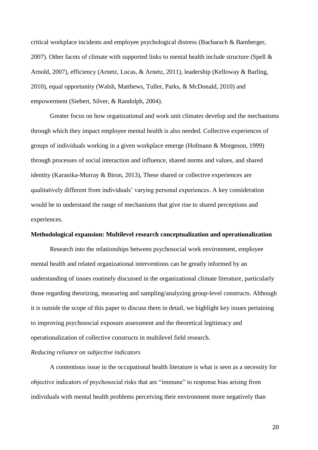critical workplace incidents and employee psychological distress [\(Bacharach & Bamberger,](#page-30-0)  [2007\)](#page-30-0). Other facets of climate with supported links to mental health include structure (Spell  $\&$ [Arnold, 2007\)](#page-42-4), efficiency [\(Arnetz, Lucas, & Arnetz, 2011\)](#page-30-6), leadership [\(Kelloway & Barling,](#page-36-7)  [2010\)](#page-36-7), equal opportunity [\(Walsh, Matthews, Tuller, Parks, & McDonald, 2010\)](#page-42-5) and empowerment [\(Siebert, Silver, & Randolph, 2004\)](#page-41-8).

Greater focus on how organizational and work unit climates develop and the mechanisms through which they impact employee mental health is also needed. Collective experiences of groups of individuals working in a given workplace emerge [\(Hofmann & Morgeson, 1999\)](#page-35-5) through processes of social interaction and influence, shared norms and values, and shared identity [\(Karanika-Murray & Biron, 2013\)](#page-36-5), These shared or collective experiences are qualitatively different from individuals' varying personal experiences. A key consideration would be to understand the range of mechanisms that give rise to shared perceptions and experiences.

## **Methodological expansion: Multilevel research conceptualization and operationalization**

Research into the relationships between psychosocial work environment, employee mental health and related organizational interventions can be greatly informed by an understanding of issues routinely discussed in the organizational climate literature, particularly those regarding theorizing, measuring and sampling/analyzing group-level constructs. Although it is outside the scope of this paper to discuss them in detail, we highlight key issues pertaining to improving psychosocial exposure assessment and the theoretical legitimacy and operationalization of collective constructs in multilevel field research.

#### *Reducing reliance on subjective indicators*

A contentious issue in the occupational health literature is what is seen as a necessity for objective indicators of psychosocial risks that are "immune" to response bias arising from individuals with mental health problems perceiving their environment more negatively than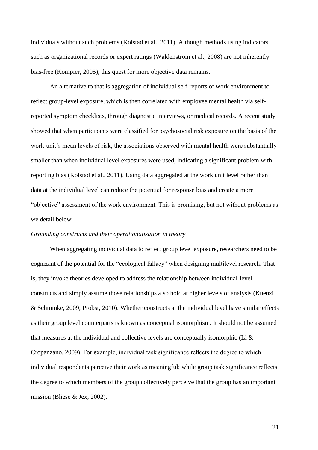individuals without such problems [\(Kolstad et al., 2011\)](#page-37-0). Although methods using indicators such as organizational records or expert ratings [\(Waldenstrom et al., 2008\)](#page-42-6) are not inherently bias-free [\(Kompier, 2005\)](#page-37-4), this quest for more objective data remains.

An alternative to that is aggregation of individual self-reports of work environment to reflect group-level exposure, which is then correlated with employee mental health via selfreported symptom checklists, through diagnostic interviews, or medical records. A recent study showed that when participants were classified for psychosocial risk exposure on the basis of the work-unit's mean levels of risk, the associations observed with mental health were substantially smaller than when individual level exposures were used, indicating a significant problem with reporting bias [\(Kolstad et al., 2011\)](#page-37-0). Using data aggregated at the work unit level rather than data at the individual level can reduce the potential for response bias and create a more "objective" assessment of the work environment. This is promising, but not without problems as we detail below.

#### *Grounding constructs and their operationalization in theory*

When aggregating individual data to reflect group level exposure, researchers need to be cognizant of the potential for the "ecological fallacy" when designing multilevel research. That is, they invoke theories developed to address the relationship between individual-level constructs and simply assume those relationships also hold at higher levels of analysis [\(Kuenzi](#page-37-5)  [& Schminke, 2009;](#page-37-5) [Probst, 2010\)](#page-40-0). Whether constructs at the individual level have similar effects as their group level counterparts is known as conceptual isomorphism. It should not be assumed that measures at the individual and collective levels are conceptually isomorphic (Li  $\&$ [Cropanzano, 2009\)](#page-37-3). For example, individual task significance reflects the degree to which individual respondents perceive their work as meaningful; while group task significance reflects the degree to which members of the group collectively perceive that the group has an important mission [\(Bliese & Jex, 2002\)](#page-31-1).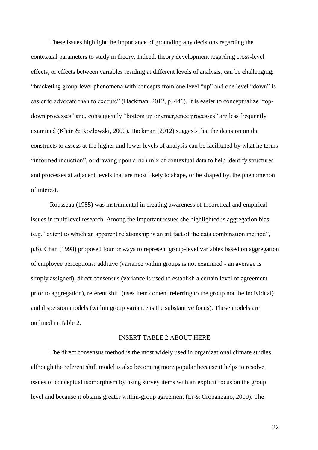These issues highlight the importance of grounding any decisions regarding the contextual parameters to study in theory. Indeed, theory development regarding cross-level effects, or effects between variables residing at different levels of analysis, can be challenging: "bracketing group-level phenomena with concepts from one level "up" and one level "down" is easier to advocate than to execute" [\(Hackman, 2012, p. 441\)](#page-35-6). It is easier to conceptualize "topdown processes" and, consequently "bottom up or emergence processes" are less frequently examined [\(Klein & Kozlowski, 2000\)](#page-36-2). Hackman (2012) suggests that the decision on the constructs to assess at the higher and lower levels of analysis can be facilitated by what he terms "informed induction", or drawing upon a rich mix of contextual data to help identify structures and processes at adjacent levels that are most likely to shape, or be shaped by, the phenomenon of interest.

Rousseau (1985) was instrumental in creating awareness of theoretical and empirical issues in multilevel research. Among the important issues she highlighted is aggregation bias (e.g. "extent to which an apparent relationship is an artifact of the data combination method", p.6). Chan [\(1998\)](#page-32-7) proposed four or ways to represent group-level variables based on aggregation of employee perceptions: additive (variance within groups is not examined - an average is simply assigned), direct consensus (variance is used to establish a certain level of agreement prior to aggregation), referent shift (uses item content referring to the group not the individual) and dispersion models (within group variance is the substantive focus). These models are outlined in Table 2.

#### INSERT TABLE 2 ABOUT HERE

The direct consensus method is the most widely used in organizational climate studies although the referent shift model is also becoming more popular because it helps to resolve issues of conceptual isomorphism by using survey items with an explicit focus on the group level and because it obtains greater within-group agreement [\(Li & Cropanzano, 2009\)](#page-37-3). The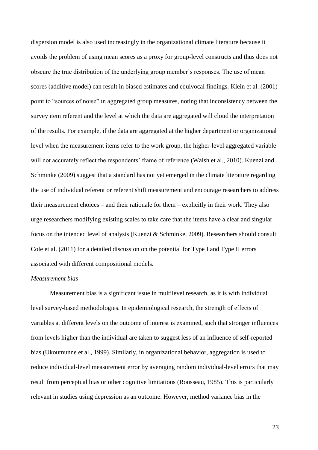dispersion model is also used increasingly in the organizational climate literature because it avoids the problem of using mean scores as a proxy for group-level constructs and thus does not obscure the true distribution of the underlying group member's responses. The use of mean scores (additive model) can result in biased estimates and equivocal findings. Klein et al. (2001) point to "sources of noise" in aggregated group measures, noting that inconsistency between the survey item referent and the level at which the data are aggregated will cloud the interpretation of the results. For example, if the data are aggregated at the higher department or organizational level when the measurement items refer to the work group, the higher-level aggregated variable will not accurately reflect the respondents' frame of reference [\(Walsh et al., 2010\)](#page-42-5). Kuenzi and Schminke [\(2009\)](#page-37-5) suggest that a standard has not yet emerged in the climate literature regarding the use of individual referent or referent shift measurement and encourage researchers to address their measurement choices – and their rationale for them – explicitly in their work. They also urge researchers modifying existing scales to take care that the items have a clear and singular focus on the intended level of analysis (Kuenzi & Schminke, 2009). Researchers should consult Cole et al. (2011) for a detailed discussion on the potential for Type I and Type II errors associated with different compositional models.

## *Measurement bias*

Measurement bias is a significant issue in multilevel research, as it is with individual level survey-based methodologies. In epidemiological research, the strength of effects of variables at different levels on the outcome of interest is examined, such that stronger influences from levels higher than the individual are taken to suggest less of an influence of self-reported bias [\(Ukoumunne et al., 1999\)](#page-42-3). Similarly, in organizational behavior, aggregation is used to reduce individual-level measurement error by averaging random individual-level errors that may result from perceptual bias or other cognitive limitations [\(Rousseau, 1985\)](#page-40-1). This is particularly relevant in studies using depression as an outcome. However, method variance bias in the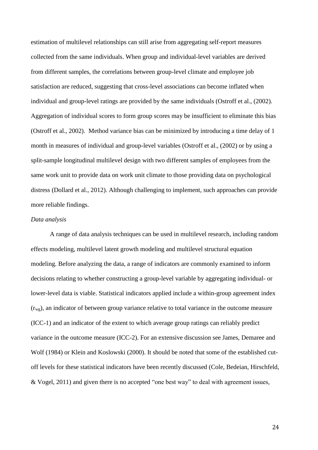estimation of multilevel relationships can still arise from aggregating self-report measures collected from the same individuals. When group and individual-level variables are derived from different samples, the correlations between group-level climate and employee job satisfaction are reduced, suggesting that cross-level associations can become inflated when individual and group-level ratings are provided by the same individuals (Ostroff et al., [\(2002\)](#page-39-7). Aggregation of individual scores to form group scores may be insufficient to eliminate this bias (Ostroff et al., 2002). Method variance bias can be minimized by introducing a time delay of 1 month in measures of individual and group-level variables (Ostroff et al., [\(2002\)](#page-39-7) or by using a split-sample longitudinal multilevel design with two different samples of employees from the same work unit to provide data on work unit climate to those providing data on psychological distress (Dollard et al., [2012\)](#page-34-2). Although challenging to implement, such approaches can provide more reliable findings.

## *Data analysis*

A range of data analysis techniques can be used in multilevel research, including random effects modeling, multilevel latent growth modeling and multilevel structural equation modeling. Before analyzing the data, a range of indicators are commonly examined to inform decisions relating to whether constructing a group-level variable by aggregating individual- or lower-level data is viable. Statistical indicators applied include a within-group agreement index  $(r_{wg})$ , an indicator of between group variance relative to total variance in the outcome measure (ICC-1) and an indicator of the extent to which average group ratings can reliably predict variance in the outcome measure (ICC-2). For an extensive discussion see James, Demaree and Wolf [\(1984\)](#page-35-7) or Klein and Koslowski [\(2000\)](#page-36-2). It should be noted that some of the established cutoff levels for these statistical indicators have been recently discussed [\(Cole, Bedeian, Hirschfeld,](#page-32-8)  [& Vogel, 2011\)](#page-32-8) and given there is no accepted "one best way" to deal with agreement issues,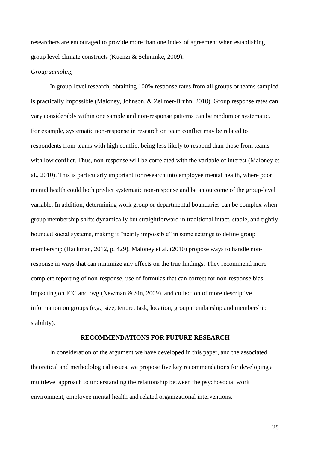researchers are encouraged to provide more than one index of agreement when establishing group level climate constructs [\(Kuenzi & Schminke, 2009\)](#page-37-5).

### *Group sampling*

In group-level research, obtaining 100% response rates from all groups or teams sampled is practically impossible [\(Maloney, Johnson, & Zellmer-Bruhn, 2010\)](#page-37-6). Group response rates can vary considerably within one sample and non-response patterns can be random or systematic. For example, systematic non-response in research on team conflict may be related to respondents from teams with high conflict being less likely to respond than those from teams with low conflict. Thus, non-response will be correlated with the variable of interest [\(Maloney et](#page-37-6)  [al., 2010\)](#page-37-6). This is particularly important for research into employee mental health, where poor mental health could both predict systematic non-response and be an outcome of the group-level variable. In addition, determining work group or departmental boundaries can be complex when group membership shifts dynamically but straightforward in traditional intact, stable, and tightly bounded social systems, making it "nearly impossible" in some settings to define group membership [\(Hackman, 2012, p. 429\)](#page-35-6). Maloney et al. [\(2010\)](#page-37-6) propose ways to handle nonresponse in ways that can minimize any effects on the true findings. They recommend more complete reporting of non-response, use of formulas that can correct for non-response bias impacting on ICC and rwg [\(Newman & Sin, 2009\)](#page-38-6), and collection of more descriptive information on groups (e.g., size, tenure, task, location, group membership and membership stability).

## **RECOMMENDATIONS FOR FUTURE RESEARCH**

In consideration of the argument we have developed in this paper, and the associated theoretical and methodological issues, we propose five key recommendations for developing a multilevel approach to understanding the relationship between the psychosocial work environment, employee mental health and related organizational interventions.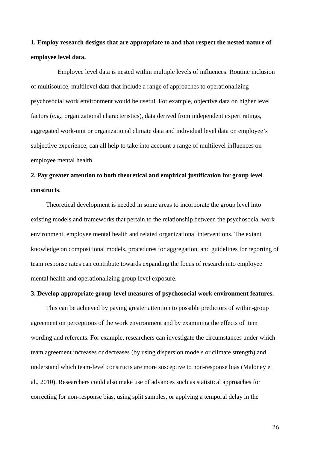**1. Employ research designs that are appropriate to and that respect the nested nature of employee level data.** 

Employee level data is nested within multiple levels of influences. Routine inclusion of multisource, multilevel data that include a range of approaches to operationalizing psychosocial work environment would be useful. For example, objective data on higher level factors (e.g., organizational characteristics), data derived from independent expert ratings, aggregated work-unit or organizational climate data and individual level data on employee's subjective experience, can all help to take into account a range of multilevel influences on employee mental health.

## **2. Pay greater attention to both theoretical and empirical justification for group level constructs**.

Theoretical development is needed in some areas to incorporate the group level into existing models and frameworks that pertain to the relationship between the psychosocial work environment, employee mental health and related organizational interventions. The extant knowledge on compositional models, procedures for aggregation, and guidelines for reporting of team response rates can contribute towards expanding the focus of research into employee mental health and operationalizing group level exposure.

## **3. Develop appropriate group-level measures of psychosocial work environment features.**

This can be achieved by paying greater attention to possible predictors of within-group agreement on perceptions of the work environment and by examining the effects of item wording and referents. For example, researchers can investigate the circumstances under which team agreement increases or decreases (by using dispersion models or climate strength) and understand which team-level constructs are more susceptive to non-response bias [\(Maloney et](#page-37-6)  [al., 2010\)](#page-37-6). Researchers could also make use of advances such as statistical approaches for correcting for non-response bias, using split samples, or applying a temporal delay in the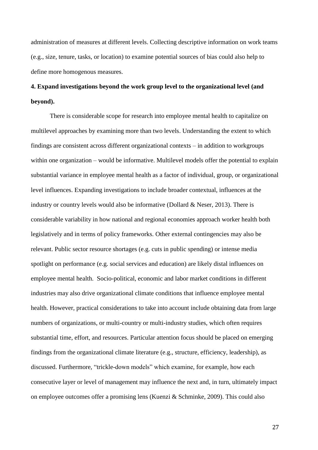administration of measures at different levels. Collecting descriptive information on work teams (e.g., size, tenure, tasks, or location) to examine potential sources of bias could also help to define more homogenous measures.

## **4. Expand investigations beyond the work group level to the organizational level (and beyond).**

There is considerable scope for research into employee mental health to capitalize on multilevel approaches by examining more than two levels. Understanding the extent to which findings are consistent across different organizational contexts – in addition to workgroups within one organization – would be informative. Multilevel models offer the potential to explain substantial variance in employee mental health as a factor of individual, group, or organizational level influences. Expanding investigations to include broader contextual, influences at the industry or country levels would also be informative (Dollard & Neser, 2013). There is considerable variability in how national and regional economies approach worker health both legislatively and in terms of policy frameworks. Other external contingencies may also be relevant. Public sector resource shortages (e.g. cuts in public spending) or intense media spotlight on performance (e.g. social services and education) are likely distal influences on employee mental health. Socio-political, economic and labor market conditions in different industries may also drive organizational climate conditions that influence employee mental health. However, practical considerations to take into account include obtaining data from large numbers of organizations, or multi-country or multi-industry studies, which often requires substantial time, effort, and resources. Particular attention focus should be placed on emerging findings from the organizational climate literature (e.g., structure, efficiency, leadership), as discussed. Furthermore, "trickle-down models" which examine, for example, how each consecutive layer or level of management may influence the next and, in turn, ultimately impact on employee outcomes offer a promising lens [\(Kuenzi & Schminke, 2009\)](#page-37-5). This could also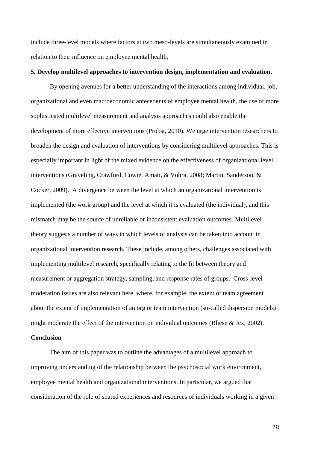include three-level models where factors at two meso-levels are simultaneously examined in relation to their influence on employee mental health.

#### **5. Develop multilevel approaches to intervention design, implementation and evaluation.**

By opening avenues for a better understanding of the interactions among individual, job, organizational and even macroeconomic antecedents of employee mental health, the use of more sophisticated multilevel measurement and analysis approaches could also enable the development of more effective interventions [\(Probst, 2010\)](#page-40-0). We urge intervention researchers to broaden the design and evaluation of interventions by considering multilevel approaches. This is especially important in light of the mixed evidence on the effectiveness of organizational level interventions [\(Graveling, Crawford, Cowie, Amati, & Vohra, 2008;](#page-34-6) [Martin, Sanderson, &](#page-38-7)  [Cocker, 2009\)](#page-38-7). A divergence between the level at which an organizational intervention is implemented (the work group) and the level at which it is evaluated (the individual), and this mismatch may be the source of unreliable or inconsistent evaluation outcomes. Multilevel theory suggests a number of ways in which levels of analysis can be taken into account in organizational intervention research. These include, among others, challenges associated with implementing multilevel research, specifically relating to the fit between theory and measurement or aggregation strategy, sampling, and response rates of groups. Cross-level moderation issues are also relevant here, where, for example, the extent of team agreement about the extent of implementation of an org or team intervention (so-called dispersion models) might moderate the effect of the intervention on individual outcomes (Bliese  $&$  Jex, 2002).

## **Conclusion**

The aim of this paper was to outline the advantages of a multilevel approach to improving understanding of the relationship between the psychosocial work environment, employee mental health and organizational interventions. In particular, we argued that consideration of the role of shared experiences and resources of individuals working in a given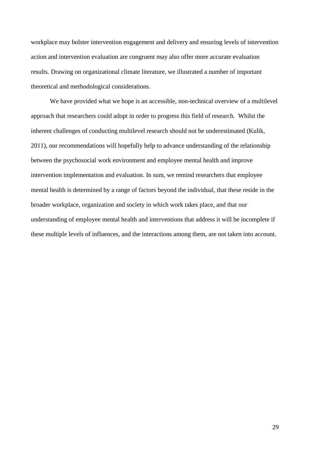workplace may bolster intervention engagement and delivery and ensuring levels of intervention action and intervention evaluation are congruent may also offer more accurate evaluation results. Drawing on organizational climate literature, we illustrated a number of important theoretical and methodological considerations.

We have provided what we hope is an accessible, non-technical overview of a multilevel approach that researchers could adopt in order to progress this field of research. Whilst the inherent challenges of conducting multilevel research should not be underestimated [\(Kulik,](#page-37-7)  [2011\)](#page-37-7), our recommendations will hopefully help to advance understanding of the relationship between the psychosocial work environment and employee mental health and improve intervention implementation and evaluation. In sum, we remind researchers that employee mental health is determined by a range of factors beyond the individual, that these reside in the broader workplace, organization and society in which work takes place, and that our understanding of employee mental health and interventions that address it will be incomplete if these multiple levels of influences, and the interactions among them, are not taken into account.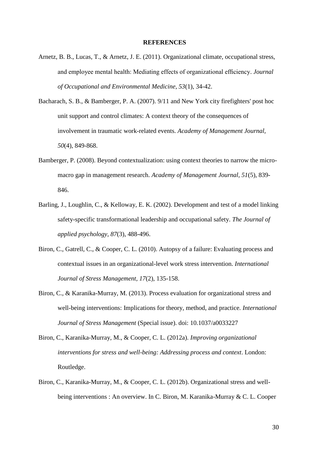#### **REFERENCES**

- <span id="page-30-6"></span>Arnetz, B. B., Lucas, T., & Arnetz, J. E. (2011). Organizational climate, occupational stress, and employee mental health: Mediating effects of organizational efficiency. *Journal of Occupational and Environmental Medicine, 53*(1), 34-42.
- <span id="page-30-0"></span>Bacharach, S. B., & Bamberger, P. A. (2007). 9/11 and New York city firefighters' post hoc unit support and control climates: A context theory of the consequences of involvement in traumatic work-related events. *Academy of Management Journal, 50*(4), 849-868.
- <span id="page-30-1"></span>Bamberger, P. (2008). Beyond contextualization: using context theories to narrow the micromacro gap in management research. *Academy of Management Journal, 51*(5), 839- 846.
- Barling, J., Loughlin, C., & Kelloway, E. K. (2002). Development and test of a model linking safety-specific transformational leadership and occupational safety. *The Journal of applied psychology, 87*(3), 488-496.
- <span id="page-30-4"></span>Biron, C., Gatrell, C., & Cooper, C. L. (2010). Autopsy of a failure: Evaluating process and contextual issues in an organizational-level work stress intervention. *International Journal of Stress Management, 17*(2), 135-158.
- <span id="page-30-3"></span>Biron, C., & Karanika-Murray, M. (2013). Process evaluation for organizational stress and well-being interventions: Implications for theory, method, and practice. *International Journal of Stress Management* (Special issue). doi: 10.1037/a0033227
- <span id="page-30-5"></span>Biron, C., Karanika-Murray, M., & Cooper, C. L. (2012a). *Improving organizational interventions for stress and well-being: Addressing process and context*. London: Routledge.
- <span id="page-30-2"></span>Biron, C., Karanika-Murray, M., & Cooper, C. L. (2012b). Organizational stress and wellbeing interventions : An overview. In C. Biron, M. Karanika-Murray & C. L. Cooper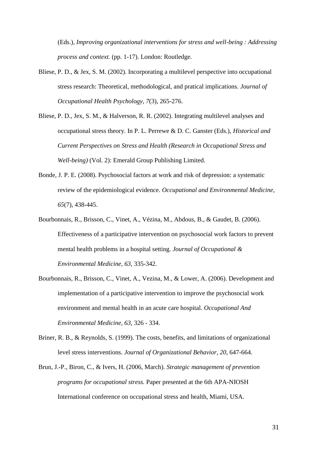(Eds.), *Improving organizational interventions for stress and well-being : Addressing process and context.* (pp. 1-17). London: Routledge.

- <span id="page-31-1"></span>Bliese, P. D., & Jex, S. M. (2002). Incorporating a multilevel perspective into occupational stress research: Theoretical, methodological, and pratical implications. *Journal of Occupational Health Psychology, 7*(3), 265-276.
- <span id="page-31-2"></span>Bliese, P. D., Jex, S. M., & Halverson, R. R. (2002). Integrating multilevel analyses and occupational stress theory. In P. L. Perrewe & D. C. Ganster (Eds.), *Historical and Current Perspectives on Stress and Health (Research in Occupational Stress and Well-being)* (Vol. 2): Emerald Group Publishing Limited.
- <span id="page-31-0"></span>Bonde, J. P. E. (2008). Psychosocial factors at work and risk of depression: a systematic review of the epidemiological evidence. *Occupational and Environmental Medicine, 65*(7), 438-445.
- <span id="page-31-4"></span>Bourbonnais, R., Brisson, C., Vinet, A., Vézina, M., Abdous, B., & Gaudet, B. (2006). Effectiveness of a participative intervention on psychosocial work factors to prevent mental health problems in a hospital setting. *Journal of Occupational & Environmental Medicine, 63*, 335-342.
- <span id="page-31-5"></span>Bourbonnais, R., Brisson, C., Vinet, A., Vezina, M., & Lower, A. (2006). Development and implementation of a participative intervention to improve the psychosocial work environment and mental health in an acute care hospital. *Occupational And Environmental Medicine, 63*, 326 - 334.
- <span id="page-31-3"></span>Briner, R. B., & Reynolds, S. (1999). The costs, benefits, and limitations of organizational level stress interventions. *Journal of Organizational Behavior, 20*, 647-664.
- <span id="page-31-6"></span>Brun, J.-P., Biron, C., & Ivers, H. (2006, March). *Strategic management of prevention programs for occupational stress.* Paper presented at the 6th APA-NIOSH International conference on occupational stress and health, Miami, USA.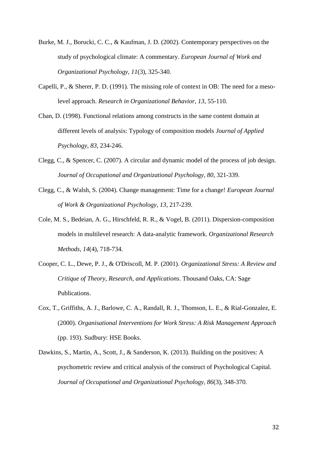- <span id="page-32-1"></span>Burke, M. J., Borucki, C. C., & Kaufman, J. D. (2002). Contemporary perspectives on the study of psychological climate: A commentary. *European Journal of Work and Organizational Psychology, 11*(3), 325-340.
- <span id="page-32-2"></span>Capelli, P., & Sherer, P. D. (1991). The missing role of context in OB: The need for a mesolevel approach. *Research in Organizational Behavior, 13*, 55-110.
- <span id="page-32-7"></span>Chan, D. (1998). Functional relations among constructs in the same content domain at different levels of analysis: Typology of composition models *Journal of Applied Psychology, 83*, 234-246.
- <span id="page-32-3"></span>Clegg, C., & Spencer, C. (2007). A circular and dynamic model of the process of job design. *Journal of Occupational and Organizational Psychology, 80*, 321-339.
- <span id="page-32-6"></span>Clegg, C., & Walsh, S. (2004). Change management: Time for a change! *European Journal of Work & Organizational Psychology, 13*, 217-239.
- <span id="page-32-8"></span>Cole, M. S., Bedeian, A. G., Hirschfeld, R. R., & Vogel, B. (2011). Dispersion-composition models in multilevel research: A data-analytic framework. *Organizational Research Methods, 14*(4), 718-734.
- <span id="page-32-0"></span>Cooper, C. L., Dewe, P. J., & O'Driscoll, M. P. (2001). *Organizational Stress: A Review and Critique of Theory, Research, and Applications*. Thousand Oaks, CA: Sage Publications.
- <span id="page-32-5"></span>Cox, T., Griffiths, A. J., Barlowe, C. A., Randall, R. J., Thomson, L. E., & Rial-Gonzalez, E. (2000). *Organisational Interventions for Work Stress: A Risk Management Approach*  (pp. 193). Sudbury: HSE Books.
- <span id="page-32-4"></span>Dawkins, S., Martin, A., Scott, J., & Sanderson, K. (2013). Building on the positives: A psychometric review and critical analysis of the construct of Psychological Capital. *Journal of Occupational and Organizational Psychology, 86*(3), 348-370.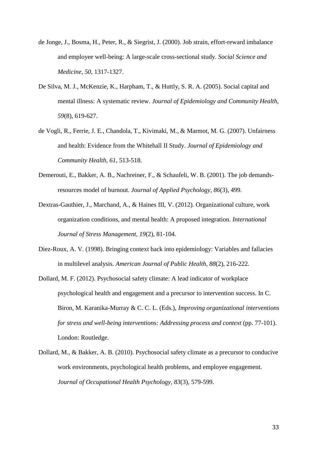- de Jonge, J., Bosma, H., Peter, R., & Siegrist, J. (2000). Job strain, effort-reward imbalance and employee well-being: A large-scale cross-sectional study. *Social Science and Medicine, 50*, 1317-1327.
- <span id="page-33-3"></span>De Silva, M. J., McKenzie, K., Harpham, T., & Huttly, S. R. A. (2005). Social capital and mental illness: A systematic review. *Journal of Epidemiology and Community Health, 59*(8), 619-627.
- de Vogli, R., Ferrie, J. E., Chandola, T., Kivimaki, M., & Marmot, M. G. (2007). Unfairness and health: Evidence from the Whitehall II Study. *Journal of Epidemiology and Community Health, 61*, 513-518.
- <span id="page-33-0"></span>Demerouti, E., Bakker, A. B., Nachreiner, F., & Schaufeli, W. B. (2001). The job demandsresources model of burnout. *Journal of Applied Psychology, 86*(3), 499.
- <span id="page-33-2"></span>Dextras-Gauthier, J., Marchand, A., & Haines III, V. (2012). Organizational culture, work organization conditions, and mental health: A proposed integration. *International Journal of Stress Management, 19*(2), 81-104.
- <span id="page-33-1"></span>Diez-Roux, A. V. (1998). Bringing context back into epidemiology: Variables and fallacies in multilevel analysis. *American Journal of Public Health, 88*(2), 216-222.
- Dollard, M. F. (2012). Psychosocial safety climate: A lead indicator of workplace psychological health and engagement and a precursor to intervention success. In C. Biron, M. Karanika-Murray & C. C. L. (Eds.), *Improving organizational interventions for stress and well-being interventions: Addressing process and context* (pp. 77-101). London: Routledge.
- <span id="page-33-4"></span>Dollard, M., & Bakker, A. B. (2010). Psychosocial safety climate as a precursor to conducive work environments, psychological health problems, and employee engagement. *Journal of Occupational Health Psychology, 83*(3), 579-599.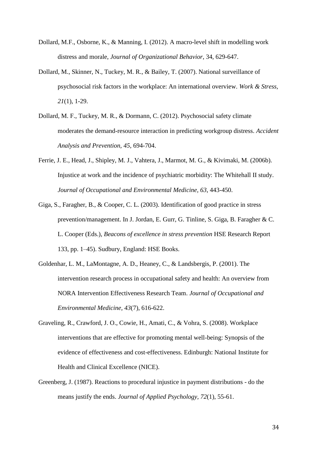- Dollard, M.F., Osborne, K., & Manning, I. (2012). A macro-level shift in modelling work distress and morale, *Journal of Organizational Behavior*, 34, 629-647.
- <span id="page-34-5"></span>Dollard, M., Skinner, N., Tuckey, M. R., & Bailey, T. (2007). National surveillance of psychosocial risk factors in the workplace: An international overview. *Work & Stress, 21*(1), 1-29.
- <span id="page-34-2"></span>Dollard, M. F., Tuckey, M. R., & Dormann, C. (2012). Psychosocial safety climate moderates the demand-resource interaction in predicting workgroup distress. *Accident Analysis and Prevention, 45*, 694-704.
- <span id="page-34-0"></span>Ferrie, J. E., Head, J., Shipley, M. J., Vahtera, J., Marmot, M. G., & Kivimaki, M. (2006b). Injustice at work and the incidence of psychiatric morbidity: The Whitehall II study. *Journal of Occupational and Environmental Medicine, 63*, 443-450.
- <span id="page-34-4"></span>Giga, S., Faragher, B., & Cooper, C. L. (2003). Identification of good practice in stress prevention/management. In J. Jordan, E. Gurr, G. Tinline, S. Giga, B. Faragher & C. L. Cooper (Eds.), *Beacons of excellence in stress prevention* HSE Research Report 133, pp. 1–45). Sudbury, England: HSE Books.
- <span id="page-34-3"></span>Goldenhar, L. M., LaMontagne, A. D., Heaney, C., & Landsbergis, P. (2001). The intervention research process in occupational safety and health: An overview from NORA Intervention Effectiveness Research Team. *Journal of Occupational and Environmental Medicine, 43*(7), 616-622.
- <span id="page-34-6"></span>Graveling, R., Crawford, J. O., Cowie, H., Amati, C., & Vohra, S. (2008). Workplace interventions that are effective for promoting mental well-being: Synopsis of the evidence of effectiveness and cost-effectiveness. Edinburgh: National Institute for Health and Clinical Excellence (NICE).
- <span id="page-34-1"></span>Greenberg, J. (1987). Reactions to procedural injustice in payment distributions - do the means justify the ends. *Journal of Applied Psychology, 72*(1), 55-61.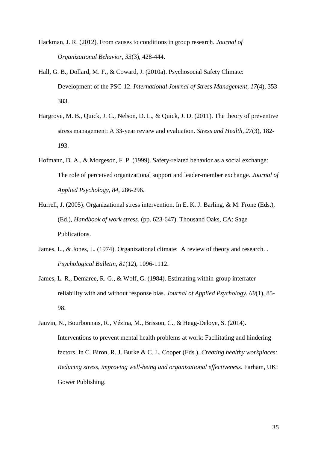- <span id="page-35-6"></span>Hackman, J. R. (2012). From causes to conditions in group research. *Journal of Organizational Behavior, 33*(3), 428-444.
- <span id="page-35-2"></span>Hall, G. B., Dollard, M. F., & Coward, J. (2010a). Psychosocial Safety Climate: Development of the PSC-12. *International Journal of Stress Management, 17*(4), 353- 383.
- <span id="page-35-1"></span>Hargrove, M. B., Quick, J. C., Nelson, D. L., & Quick, J. D. (2011). The theory of preventive stress management: A 33-year review and evaluation. *Stress and Health, 27*(3), 182- 193.
- <span id="page-35-5"></span>Hofmann, D. A., & Morgeson, F. P. (1999). Safety-related behavior as a social exchange: The role of perceived organizational support and leader-member exchange. *Journal of Applied Psychology, 84*, 286-296.
- <span id="page-35-0"></span>Hurrell, J. (2005). Organizational stress intervention. In E. K. J. Barling, & M. Frone (Eds.), (Ed.), *Handbook of work stress.* (pp. 623-647). Thousand Oaks, CA: Sage Publications.
- <span id="page-35-4"></span>James, L., & Jones, L. (1974). Organizational climate: A review of theory and research. . *Psychological Bulletin, 81*(12), 1096-1112.
- <span id="page-35-7"></span>James, L. R., Demaree, R. G., & Wolf, G. (1984). Estimating within-group interrater reliability with and without response bias. *Journal of Applied Psychology, 69*(1), 85- 98.
- <span id="page-35-3"></span>Jauvin, N., Bourbonnais, R., Vézina, M., Brisson, C., & Hegg-Deloye, S. (2014). Interventions to prevent mental health problems at work: Facilitating and hindering factors. In C. Biron, R. J. Burke & C. L. Cooper (Eds.), *Creating healthy workplaces: Reducing stress, improving well-being and organizational effectiveness*. Farham, UK: Gower Publishing.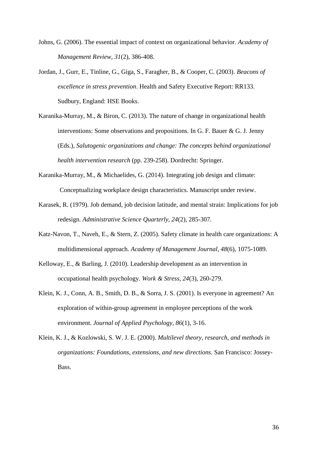- <span id="page-36-3"></span>Johns, G. (2006). The essential impact of context on organizational behavior. *Academy of Management Review, 31*(2), 386-408.
- <span id="page-36-4"></span>Jordan, J., Gurr, E., Tinline, G., Giga, S., Faragher, B., & Cooper, C. (2003). *Beacons of excellence in stress prevention*. Health and Safety Executive Report: RR133. Sudbury, England: HSE Books.
- <span id="page-36-5"></span>Karanika-Murray, M., & Biron, C. (2013). The nature of change in organizational health interventions: Some observations and propositions. In G. F. Bauer  $\&$  G. J. Jenny (Eds.), *Salutogenic organizations and change: The concepts behind organizational health intervention research* (pp. 239-258). Dordrecht: Springer.
- Karanika-Murray, M., & Michaelides, G. (2014). Integrating job design and climate: Conceptualizing workplace design characteristics. Manuscript under review.
- <span id="page-36-0"></span>Karasek, R. (1979). Job demand, job decision latitude, and mental strain: Implications for job redesign. *Administrative Science Quarterly, 24*(2), 285-307.
- <span id="page-36-6"></span>Katz-Navon, T., Naveh, E., & Stern, Z. (2005). Safety climate in health care organizations: A multidimensional approach. *Academy of Management Journal, 48*(6), 1075-1089.
- <span id="page-36-7"></span>Kelloway, E., & Barling, J. (2010). Leadership development as an intervention in occupational health psychology. *Work & Stress, 24*(3), 260-279.
- <span id="page-36-1"></span>Klein, K. J., Conn, A. B., Smith, D. B., & Sorra, J. S. (2001). Is everyone in agreement? An exploration of within-group agreement in employee perceptions of the work environment. *Journal of Applied Psychology, 86*(1), 3-16.
- <span id="page-36-2"></span>Klein, K. J., & Kozlowski, S. W. J. E. (2000). *Multilevel theory, research, and methods in organizations: Foundations, extensions, and new directions.* San Francisco: Jossey-Bass.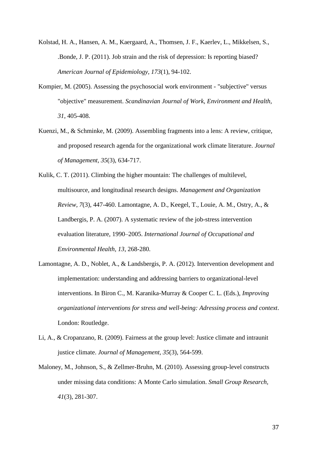- <span id="page-37-0"></span>Kolstad, H. A., Hansen, A. M., Kaergaard, A., Thomsen, J. F., Kaerlev, L., Mikkelsen, S., .Bonde, J. P. (2011). Job strain and the risk of depression: Is reporting biased? *American Journal of Epidemiology, 173*(1), 94-102.
- <span id="page-37-4"></span>Kompier, M. (2005). Assessing the psychosocial work environment - "subjective" versus "objective" measurement. *Scandinavian Journal of Work, Environment and Health, 31*, 405-408.
- <span id="page-37-5"></span>Kuenzi, M., & Schminke, M. (2009). Assembling fragments into a lens: A review, critique, and proposed research agenda for the organizational work climate literature. *Journal of Management, 35*(3), 634-717.
- <span id="page-37-7"></span><span id="page-37-1"></span>Kulik, C. T. (2011). Climbing the higher mountain: The challenges of multilevel, multisource, and longitudinal research designs. *Management and Organization Review, 7*(3), 447-460. Lamontagne, A. D., Keegel, T., Louie, A. M., Ostry, A., & Landbergis, P. A. (2007). A systematic review of the job-stress intervention evaluation literature, 1990–2005. *International Journal of Occupational and Environmental Health, 13*, 268-280.
- <span id="page-37-2"></span>Lamontagne, A. D., Noblet, A., & Landsbergis, P. A. (2012). Intervention development and implementation: understanding and addressing barriers to organizational-level interventions. In Biron C., M. Karanika-Murray & Cooper C. L. (Eds.), *Improving organizational interventions for stress and well-being: Adressing process and context*. London: Routledge.
- <span id="page-37-3"></span>Li, A., & Cropanzano, R. (2009). Fairness at the group level: Justice climate and intraunit justice climate. *Journal of Management, 35*(3), 564-599.
- <span id="page-37-6"></span>Maloney, M., Johnson, S., & Zellmer-Bruhn, M. (2010). Assessing group-level constructs under missing data conditions: A Monte Carlo simulation. *Small Group Research, 41*(3), 281-307.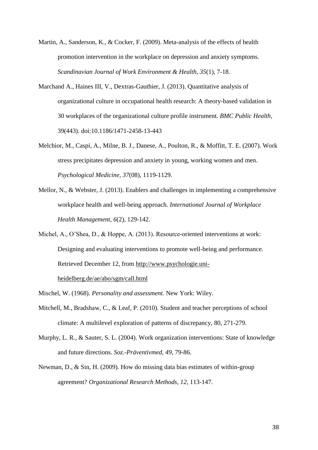- <span id="page-38-7"></span>Martin, A., Sanderson, K., & Cocker, F. (2009). Meta-analysis of the effects of health promotion intervention in the workplace on depression and anxiety symptoms. *Scandinavian Journal of Work Environment & Health, 35*(1), 7-18.
- Marchand A., Haines III, V., Dextras-Gauthier, J. (2013). Quantitative analysis of organizational culture in occupational health research: A theory-based validation in 30 workplaces of the organizational culture profile instrument. *BMC Public Health*, 39(443). doi:10.1186/1471-2458-13-443
- <span id="page-38-0"></span>Melchior, M., Caspi, A., Milne, B. J., Danese, A., Poulton, R., & Moffitt, T. E. (2007). Work stress precipitates depression and anxiety in young, working women and men. *Psychological Medicine, 37*(08), 1119-1129.
- <span id="page-38-1"></span>Mellor, N., & Webster, J. (2013). Enablers and challenges in implementing a comprehensive workplace health and well-being approach. *International Journal of Workplace Health Management, 6*(2), 129-142.
- <span id="page-38-3"></span>Michel, A., O'Shea, D., & Hoppe, A. (2013). Resource-oriented interventions at work: Designing and evaluating interventions to promote well-being and performance. Retrieved December 12, from [http://www.psychologie.uni](http://www.psychologie.uni-heidelberg.de/ae/abo/sgm/call.html)[heidelberg.de/ae/abo/sgm/call.html](http://www.psychologie.uni-heidelberg.de/ae/abo/sgm/call.html)
- <span id="page-38-2"></span>Mischel, W. (1968). *Personality and assessment.* New York: Wiley.
- <span id="page-38-5"></span>Mitchell, M., Bradshaw, C., & Leaf, P. (2010). Student and teacher perceptions of school climate: A multilevel exploration of patterns of discrepancy, 80, 271-279.
- <span id="page-38-4"></span>Murphy, L. R., & Sauter, S. L. (2004). Work organization interventions: State of knowledge and future directions. *Soz.-Präventivmed, 49*, 79-86.
- <span id="page-38-6"></span>Newman, D., & Sin, H. (2009). How do missing data bias estimates of within-group agreement? *Organizational Research Methods, 12*, 113-147.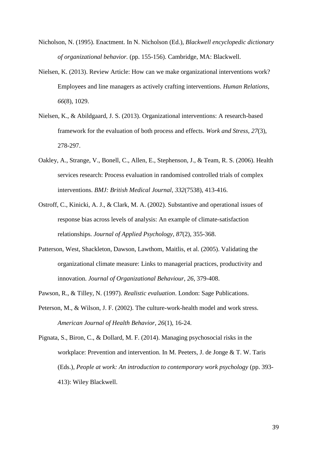- <span id="page-39-6"></span>Nicholson, N. (1995). Enactment. In N. Nicholson (Ed.), *Blackwell encyclopedic dictionary of organizational behavior.* (pp. 155-156). Cambridge, MA: Blackwell.
- <span id="page-39-5"></span>Nielsen, K. (2013). Review Article: How can we make organizational interventions work? Employees and line managers as actively crafting interventions. *Human Relations, 66*(8), 1029.
- <span id="page-39-2"></span>Nielsen, K., & Abildgaard, J. S. (2013). Organizational interventions: A research-based framework for the evaluation of both process and effects. *Work and Stress, 27*(3), 278-297.
- <span id="page-39-3"></span>Oakley, A., Strange, V., Bonell, C., Allen, E., Stephenson, J., & Team, R. S. (2006). Health services research: Process evaluation in randomised controlled trials of complex interventions. *BMJ: British Medical Journal, 332*(7538), 413-416.
- <span id="page-39-7"></span>Ostroff, C., Kinicki, A. J., & Clark, M. A. (2002). Substantive and operational issues of response bias across levels of analysis: An example of climate-satisfaction relationships. *Journal of Applied Psychology, 87*(2), 355-368.
- Patterson, West, Shackleton, Dawson, Lawthom, Maitlis, et al. (2005). Validating the organizational climate measure: Links to managerial practices, productivity and innovation. *Journal of Organizational Behaviour, 26*, 379-408.
- <span id="page-39-4"></span>Pawson, R., & Tilley, N. (1997). *Realistic evaluation*. London: Sage Publications.
- <span id="page-39-0"></span>Peterson, M., & Wilson, J. F. (2002). The culture-work-health model and work stress. *American Journal of Health Behavior, 26*(1), 16-24.
- <span id="page-39-1"></span>Pignata, S., Biron, C., & Dollard, M. F. (2014). Managing psychosocial risks in the workplace: Prevention and intervention. In M. Peeters, J. de Jonge & T. W. Taris (Eds.), *People at work: An introduction to contemporary work psychology* (pp. 393- 413): Wiley Blackwell.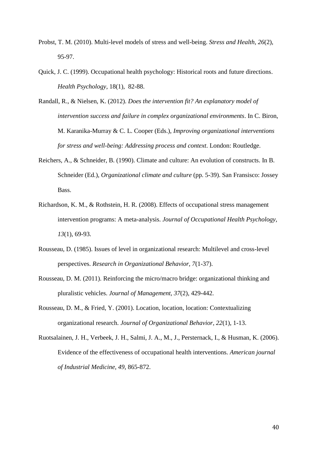- <span id="page-40-0"></span>Probst, T. M. (2010). Multi-level models of stress and well-being. *Stress and Health, 26*(2), 95-97.
- Quick, J. C. (1999). Occupational health psychology: Historical roots and future directions. *Health Psychology*, 18(1), 82-88.

<span id="page-40-3"></span>Randall, R., & Nielsen, K. (2012). *Does the intervention fit? An explanatory model of intervention success and failure in complex organizational environments*. In C. Biron, M. Karanika-Murray & C. L. Cooper (Eds.), *Improving organizational interventions for stress and well-being: Addressing process and context*. London: Routledge.

- <span id="page-40-5"></span>Reichers, A., & Schneider, B. (1990). Climate and culture: An evolution of constructs. In B. Schneider (Ed.), *Organizational climate and culture* (pp. 5-39). San Fransisco: Jossey Bass.
- Richardson, K. M., & Rothstein, H. R. (2008). Effects of occupational stress management intervention programs: A meta-analysis. *Journal of Occupational Health Psychology, 13*(1), 69-93.
- <span id="page-40-1"></span>Rousseau, D. (1985). Issues of level in organizational research: Multilevel and cross-level perspectives. *Research in Organizational Behavior, 7*(1-37).
- <span id="page-40-4"></span>Rousseau, D. M. (2011). Reinforcing the micro/macro bridge: organizational thinking and pluralistic vehicles. *Journal of Management, 37*(2), 429-442.
- <span id="page-40-2"></span>Rousseau, D. M., & Fried, Y. (2001). Location, location, location: Contextualizing organizational research. *Journal of Organizational Behavior, 22*(1), 1-13.
- Ruotsalainen, J. H., Verbeek, J. H., Salmi, J. A., M., J., Persternack, I., & Husman, K. (2006). Evidence of the effectiveness of occupational health interventions. *American journal of Industrial Medicine, 49*, 865-872.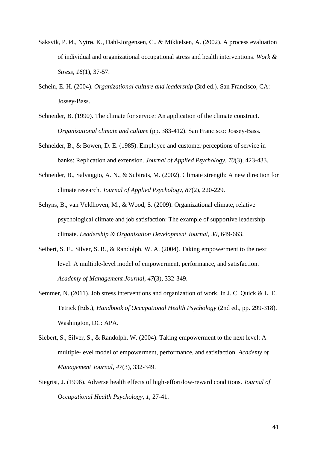- <span id="page-41-2"></span>Saksvik, P. Ø., Nytrø, K., Dahl-Jorgensen, C., & Mikkelsen, A. (2002). A process evaluation of individual and organizational occupational stress and health interventions. *Work & Stress, 16*(1), 37-57.
- Schein, E. H. (2004). *Organizational culture and leadership* (3rd ed.). San Francisco, CA: Jossey-Bass.
- <span id="page-41-5"></span>Schneider, B. (1990). The climate for service: An application of the climate construct. *Organizational climate and culture* (pp. 383-412). San Francisco: Jossey-Bass.
- <span id="page-41-6"></span>Schneider, B., & Bowen, D. E. (1985). Employee and customer perceptions of service in banks: Replication and extension. *Journal of Applied Psychology, 70*(3), 423-433.
- <span id="page-41-4"></span>Schneider, B., Salvaggio, A. N., & Subirats, M. (2002). Climate strength: A new direction for climate research. *Journal of Applied Psychology, 87*(2), 220-229.
- <span id="page-41-7"></span>Schyns, B., van Veldhoven, M., & Wood, S. (2009). Organizational climate, relative psychological climate and job satisfaction: The example of supportive leadership climate. *Leadership & Organization Development Journal, 30*, 649-663.
- <span id="page-41-3"></span>Seibert, S. E., Silver, S. R., & Randolph, W. A. (2004). Taking empowerment to the next level: A multiple-level model of empowerment, performance, and satisfaction. *Academy of Management Journal, 47*(3), 332-349.
- <span id="page-41-1"></span>Semmer, N. (2011). Job stress interventions and organization of work. In J. C. Quick & L. E. Tetrick (Eds.), *Handbook of Occupational Health Psychology* (2nd ed., pp. 299-318). Washington, DC: APA.
- <span id="page-41-8"></span>Siebert, S., Silver, S., & Randolph, W. (2004). Taking empowerment to the next level: A multiple-level model of empowerment, performance, and satisfaction. *Academy of Management Journal, 47*(3), 332-349.
- <span id="page-41-0"></span>Siegrist, J. (1996). Adverse health effects of high-effort/low-reward conditions. *Journal of Occupational Health Psychology, 1*, 27-41.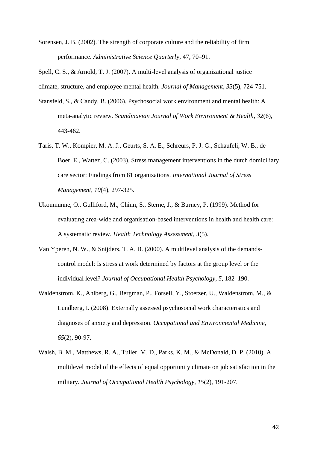Sorensen, J. B. (2002). The strength of corporate culture and the reliability of firm performance. *Administrative Science Quarterl*y, 47, 70–91.

<span id="page-42-4"></span>Spell, C. S., & Arnold, T. J. (2007). A multi-level analysis of organizational justice climate, structure, and employee mental health. *Journal of Management, 33*(5), 724-751.

- <span id="page-42-0"></span>Stansfeld, S., & Candy, B. (2006). Psychosocial work environment and mental health: A meta-analytic review. *Scandinavian Journal of Work Environment & Health, 32*(6), 443-462.
- <span id="page-42-2"></span>Taris, T. W., Kompier, M. A. J., Geurts, S. A. E., Schreurs, P. J. G., Schaufeli, W. B., de Boer, E., Wattez, C. (2003). Stress management interventions in the dutch domiciliary care sector: Findings from 81 organizations. *International Journal of Stress Management, 10*(4), 297-325.
- <span id="page-42-3"></span>Ukoumunne, O., Gulliford, M., Chinn, S., Sterne, J., & Burney, P. (1999). Method for evaluating area-wide and organisation-based interventions in health and health care: A systematic review. *Health Technology Assessment, 3*(5).
- <span id="page-42-1"></span>Van Yperen, N. W., & Snijders, T. A. B. (2000). A multilevel analysis of the demandscontrol model: Is stress at work determined by factors at the group level or the individual level? *Journal of Occupational Health Psychology, 5*, 182–190.
- <span id="page-42-6"></span>Waldenstrom, K., Ahlberg, G., Bergman, P., Forsell, Y., Stoetzer, U., Waldenstrom, M., & Lundberg, I. (2008). Externally assessed psychosocial work characteristics and diagnoses of anxiety and depression. *Occupational and Environmental Medicine, 65*(2), 90-97.
- <span id="page-42-5"></span>Walsh, B. M., Matthews, R. A., Tuller, M. D., Parks, K. M., & McDonald, D. P. (2010). A multilevel model of the effects of equal opportunity climate on job satisfaction in the military. *Journal of Occupational Health Psychology, 15*(2), 191-207.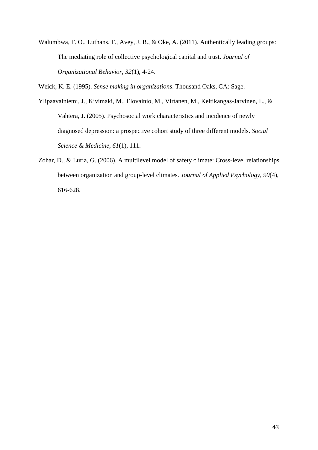<span id="page-43-1"></span>Walumbwa, F. O., Luthans, F., Avey, J. B., & Oke, A. (2011). Authentically leading groups: The mediating role of collective psychological capital and trust. *Journal of Organizational Behavior, 32*(1), 4-24.

<span id="page-43-2"></span>Weick, K. E. (1995). *Sense making in organizations*. Thousand Oaks, CA: Sage.

<span id="page-43-0"></span>Ylipaavalniemi, J., Kivimaki, M., Elovainio, M., Virtanen, M., Keltikangas-Jarvinen, L., & Vahtera, J. (2005). Psychosocial work characteristics and incidence of newly diagnosed depression: a prospective cohort study of three different models. *Social Science & Medicine, 61*(1), 111.

<span id="page-43-3"></span>Zohar, D., & Luria, G. (2006). A multilevel model of safety climate: Cross-level relationships between organization and group-level climates. *Journal of Applied Psychology, 90*(4), 616-628.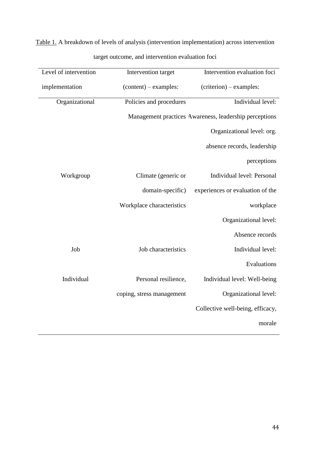Table 1. A breakdown of levels of analysis (intervention implementation) across intervention target outcome, and intervention evaluation foci

| Level of intervention | Intervention target       | Intervention evaluation foci                           |
|-----------------------|---------------------------|--------------------------------------------------------|
| implementation        | $(content) - examples:$   | (criterion) – examples:                                |
| Organizational        | Policies and procedures   | Individual level:                                      |
|                       |                           | Management practices Awareness, leadership perceptions |
|                       |                           | Organizational level: org.                             |
|                       |                           | absence records, leadership                            |
|                       |                           | perceptions                                            |
| Workgroup             | Climate (generic or       | Individual level: Personal                             |
|                       | domain-specific)          | experiences or evaluation of the                       |
|                       | Workplace characteristics | workplace                                              |
|                       |                           | Organizational level:                                  |
|                       |                           | Absence records                                        |
| Job                   | Job characteristics       | Individual level:                                      |
|                       |                           | Evaluations                                            |
| Individual            | Personal resilience,      | Individual level: Well-being                           |
|                       | coping, stress management | Organizational level:                                  |
|                       |                           | Collective well-being, efficacy,                       |
|                       |                           | morale                                                 |